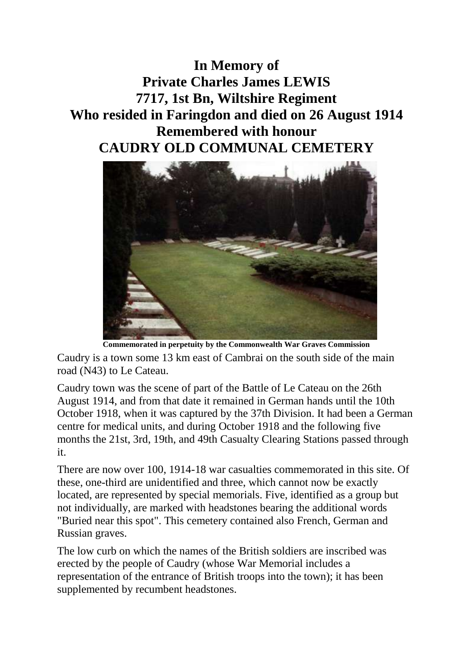**In Memory of Private Charles James LEWIS 7717, 1st Bn, Wiltshire Regiment Who resided in Faringdon and died on 26 August 1914 Remembered with honour CAUDRY OLD COMMUNAL CEMETERY**



**Commemorated in perpetuity by the Commonwealth War Graves Commission** 

Caudry is a town some 13 km east of Cambrai on the south side of the main road (N43) to Le Cateau.

Caudry town was the scene of part of the Battle of Le Cateau on the 26th August 1914, and from that date it remained in German hands until the 10th October 1918, when it was captured by the 37th Division. It had been a German centre for medical units, and during October 1918 and the following five months the 21st, 3rd, 19th, and 49th Casualty Clearing Stations passed through it.

There are now over 100, 1914-18 war casualties commemorated in this site. Of these, one-third are unidentified and three, which cannot now be exactly located, are represented by special memorials. Five, identified as a group but not individually, are marked with headstones bearing the additional words "Buried near this spot". This cemetery contained also French, German and Russian graves.

The low curb on which the names of the British soldiers are inscribed was erected by the people of Caudry (whose War Memorial includes a representation of the entrance of British troops into the town); it has been supplemented by recumbent headstones.